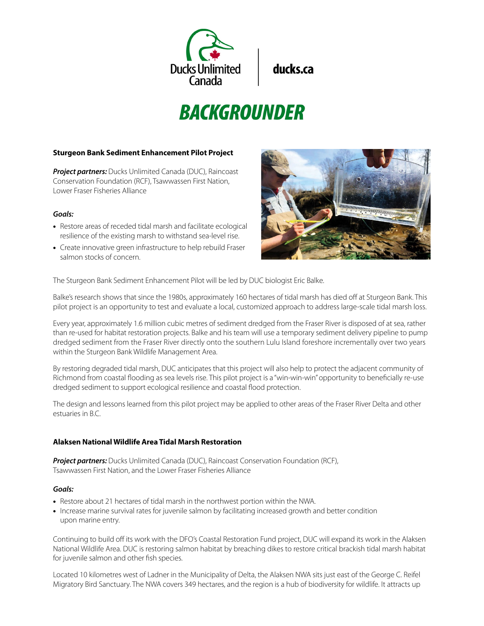

ducks.ca

# **BACKGROUNDER**

## **Sturgeon Bank Sediment Enhancement Pilot Project**

*Project partners:* Ducks Unlimited Canada (DUC), Raincoast Conservation Foundation (RCF), Tsawwassen First Nation, Lower Fraser Fisheries Alliance

## *Goals:*

- Restore areas of receded tidal marsh and facilitate ecological resilience of the existing marsh to withstand sea-level rise.
- Create innovative green infrastructure to help rebuild Fraser salmon stocks of concern.



The Sturgeon Bank Sediment Enhancement Pilot will be led by DUC biologist Eric Balke.

Balke's research shows that since the 1980s, approximately 160 hectares of tidal marsh has died off at Sturgeon Bank. This pilot project is an opportunity to test and evaluate a local, customized approach to address large-scale tidal marsh loss.

Every year, approximately 1.6 million cubic metres of sediment dredged from the Fraser River is disposed of at sea, rather than re-used for habitat restoration projects. Balke and his team will use a temporary sediment delivery pipeline to pump dredged sediment from the Fraser River directly onto the southern Lulu Island foreshore incrementally over two years within the Sturgeon Bank Wildlife Management Area.

By restoring degraded tidal marsh, DUC anticipates that this project will also help to protect the adjacent community of Richmond from coastal flooding as sea levels rise. This pilot project is a "win-win-win" opportunity to beneficially re-use dredged sediment to support ecological resilience and coastal flood protection.

The design and lessons learned from this pilot project may be applied to other areas of the Fraser River Delta and other estuaries in B.C.

# **Alaksen National Wildlife Area Tidal Marsh Restoration**

**Project partners:** Ducks Unlimited Canada (DUC), Raincoast Conservation Foundation (RCF), Tsawwassen First Nation, and the Lower Fraser Fisheries Alliance

#### *Goals:*

- Restore about 21 hectares of tidal marsh in the northwest portion within the NWA.
- Increase marine survival rates for juvenile salmon by facilitating increased growth and better condition upon marine entry.

Continuing to build off its work with the DFO's Coastal Restoration Fund project, DUC will expand its work in the Alaksen National Wildlife Area. DUC is restoring salmon habitat by breaching dikes to restore critical brackish tidal marsh habitat for juvenile salmon and other fish species.

Located 10 kilometres west of Ladner in the Municipality of Delta, the Alaksen NWA sits just east of the George C. Reifel Migratory Bird Sanctuary. The NWA covers 349 hectares, and the region is a hub of biodiversity for wildlife. It attracts up